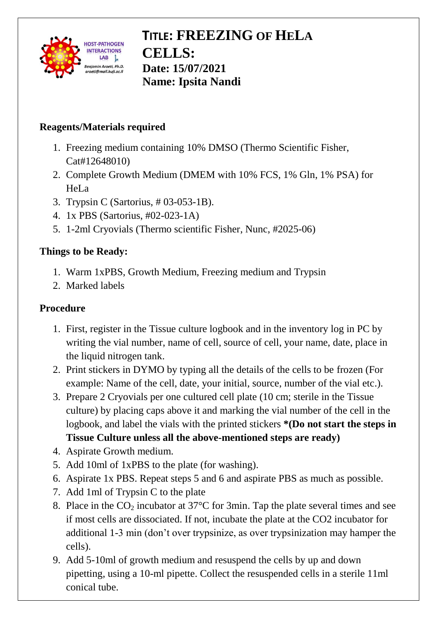

## **TITLE: FREEZING OF HELA CELLS: Date: 15/07/2021 Name: Ipsita Nandi**

### **Reagents/Materials required**

- 1. Freezing medium containing 10% DMSO (Thermo Scientific Fisher, Cat#12648010)
- 2. Complete Growth Medium (DMEM with 10% FCS, 1% Gln, 1% PSA) for HeLa
- 3. Trypsin C (Sartorius, # 03-053-1B).
- 4. 1x PBS (Sartorius, #02-023-1A)
- 5. 1-2ml Cryovials (Thermo scientific Fisher, Nunc, #2025-06)

#### **Things to be Ready:**

- 1. Warm 1xPBS, Growth Medium, Freezing medium and Trypsin
- 2. Marked labels

#### **Procedure**

- 1. First, register in the Tissue culture logbook and in the inventory log in PC by writing the vial number, name of cell, source of cell, your name, date, place in the liquid nitrogen tank.
- 2. Print stickers in DYMO by typing all the details of the cells to be frozen (For example: Name of the cell, date, your initial, source, number of the vial etc.).
- 3. Prepare 2 Cryovials per one cultured cell plate (10 cm; sterile in the Tissue culture) by placing caps above it and marking the vial number of the cell in the logbook, and label the vials with the printed stickers **\*(Do not start the steps in Tissue Culture unless all the above-mentioned steps are ready)**
- 4. Aspirate Growth medium.
- 5. Add 10ml of 1xPBS to the plate (for washing).
- 6. Aspirate 1x PBS. Repeat steps 5 and 6 and aspirate PBS as much as possible.
- 7. Add 1ml of Trypsin C to the plate
- 8. Place in the  $CO_2$  incubator at 37 $\degree$ C for 3min. Tap the plate several times and see if most cells are dissociated. If not, incubate the plate at the CO2 incubator for additional 1-3 min (don't over trypsinize, as over trypsinization may hamper the cells).
- 9. Add 5-10ml of growth medium and resuspend the cells by up and down pipetting, using a 10-ml pipette. Collect the resuspended cells in a sterile 11ml conical tube.